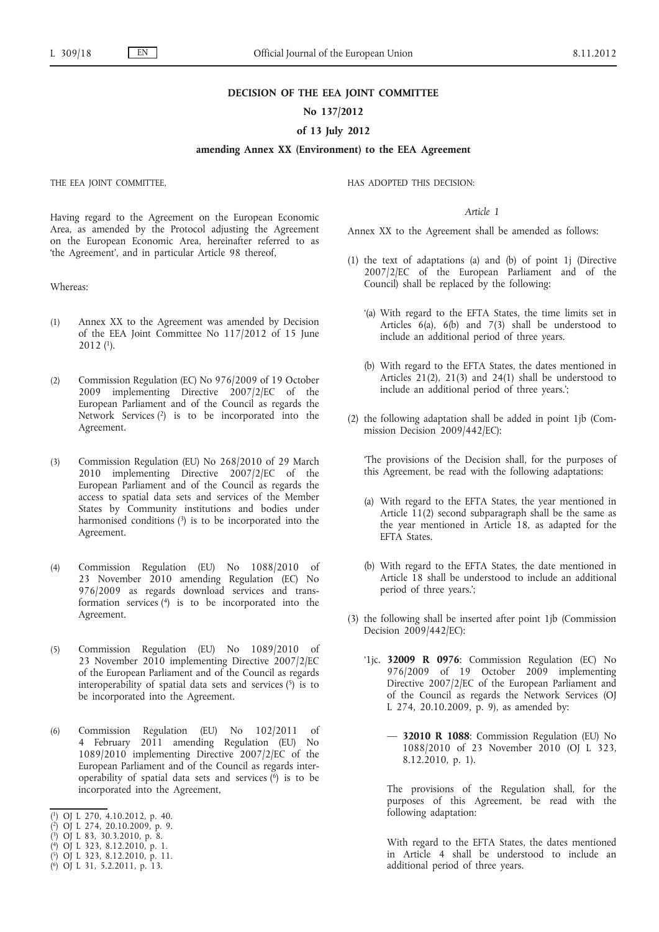### **DECISION OF THE EEA JOINT COMMITTEE**

# **No 137/2012**

### **of 13 July 2012**

# **amending Annex XX (Environment) to the EEA Agreement**

THE EEA JOINT COMMITTEE,

HAS ADOPTED THIS DECISION:

# *Article 1*

Annex XX to the Agreement shall be amended as follows:

- (1) the text of adaptations (a) and (b) of point 1j (Directive 2007/2/EC of the European Parliament and of the Council) shall be replaced by the following:
	- '(a) With regard to the EFTA States, the time limits set in Articles  $6(a)$ ,  $6(b)$  and  $7(3)$  shall be understood to include an additional period of three years.
	- (b) With regard to the EFTA States, the dates mentioned in Articles 21(2), 21(3) and 24(1) shall be understood to include an additional period of three years.';
- (2) the following adaptation shall be added in point 1jb (Commission Decision 2009/442/EC):

'The provisions of the Decision shall, for the purposes of this Agreement, be read with the following adaptations:

- (a) With regard to the EFTA States, the year mentioned in Article 11(2) second subparagraph shall be the same as the year mentioned in Article 18, as adapted for the EFTA States.
- (b) With regard to the EFTA States, the date mentioned in Article 18 shall be understood to include an additional period of three years.';
- (3) the following shall be inserted after point 1jb (Commission Decision 2009/442/EC):
	- '1jc. **32009 R 0976**: Commission Regulation (EC) No 976/2009 of 19 October 2009 implementing Directive 2007/2/EC of the European Parliament and of the Council as regards the Network Services (OJ L 274, 20.10.2009, p. 9), as amended by:
		- — **32010 R 1088**: Commission Regulation (EU) No 1088/2010 of 23 November 2010 (OJ L 323, 8.12.2010, p. 1).

The provisions of the Regulation shall, for the purposes of this Agreement, be read with the following adaptation:

With regard to the EFTA States, the dates mentioned in Article 4 shall be understood to include an additional period of three years.

Having regard to the Agreement on the European Economic Area, as amended by the Protocol adjusting the Agreement on the European Economic Area, hereinafter referred to as 'the Agreement', and in particular Article 98 thereof,

Whereas:

- (1) Annex XX to the Agreement was amended by Decision of the EEA Joint Committee No 117/2012 of 15 June 2012 (1).
- (2) Commission Regulation (EC) No 976/2009 of 19 October 2009 implementing Directive 2007/2/EC of the European Parliament and of the Council as regards the Network Services (2) is to be incorporated into the Agreement.
- (3) Commission Regulation (EU) No 268/2010 of 29 March 2010 implementing Directive 2007/2/EC of the European Parliament and of the Council as regards the access to spatial data sets and services of the Member States by Community institutions and bodies under harmonised conditions  $(3)$  is to be incorporated into the Agreement.
- (4) Commission Regulation (EU) No 1088/2010 of 23 November 2010 amending Regulation (EC) No 976/2009 as regards download services and transformation services (4) is to be incorporated into the Agreement.
- (5) Commission Regulation (EU) No 1089/2010 of 23 November 2010 implementing Directive 2007/2/EC of the European Parliament and of the Council as regards interoperability of spatial data sets and services  $(5)$  is to be incorporated into the Agreement.
- (6) Commission Regulation (EU) No 102/2011 of 4 February 2011 amending Regulation (EU) No 1089/2010 implementing Directive 2007/2/EC of the European Parliament and of the Council as regards interoperability of spatial data sets and services  $(6)$  is to be incorporated into the Agreement,
- ( 1) OJ L 270, 4.10.2012, p. 40.

- ( 3) OJ L 83, 30.3.2010, p. 8.
- ( 4) OJ L 323, 8.12.2010, p. 1. ( 5) OJ L 323, 8.12.2010, p. 11.
- ( 6) OJ L 31, 5.2.2011, p. 13.

<sup>(</sup> 2) OJ L 274, 20.10.2009, p. 9.